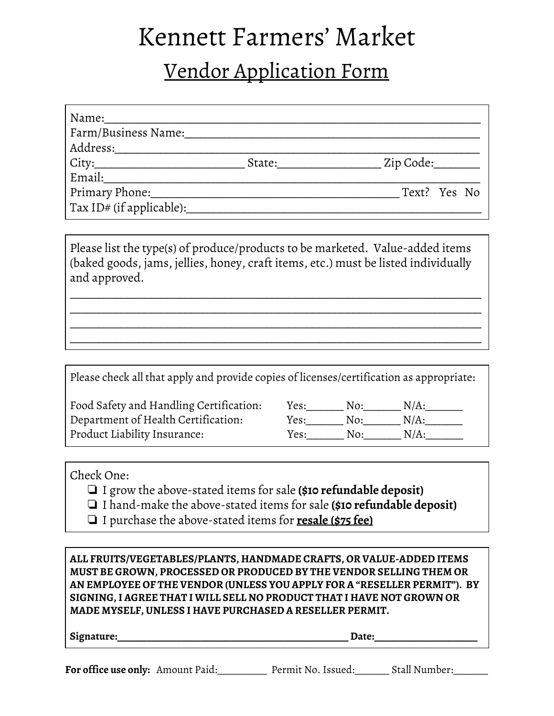## Kennett Farmers' Market

## Vendor Application Form

| Name:<br>Farm/Business Name: |        |                     |  |  |
|------------------------------|--------|---------------------|--|--|
| Address:___                  |        |                     |  |  |
|                              | State: | _ Zip Code:________ |  |  |
| Email:                       |        |                     |  |  |
| Primary Phone:               |        | Text? Yes No        |  |  |
| Tax ID# (if applicable):     |        |                     |  |  |

Please list the type(s) of produce/products to be marketed. Value-added items (baked goods, jams, jellies, honey, craft items, etc.) must be listed individually and approved.

\_\_\_\_\_\_\_\_\_\_\_\_\_\_\_\_\_\_\_\_\_\_\_\_\_\_\_\_\_\_\_\_\_\_\_\_\_\_\_\_\_\_\_\_\_\_\_\_\_\_\_\_\_\_\_\_\_\_\_\_\_\_\_\_\_\_\_\_\_\_\_ \_\_\_\_\_\_\_\_\_\_\_\_\_\_\_\_\_\_\_\_\_\_\_\_\_\_\_\_\_\_\_\_\_\_\_\_\_\_\_\_\_\_\_\_\_\_\_\_\_\_\_\_\_\_\_\_\_\_\_\_\_\_\_\_\_\_\_\_\_\_\_ \_\_\_\_\_\_\_\_\_\_\_\_\_\_\_\_\_\_\_\_\_\_\_\_\_\_\_\_\_\_\_\_\_\_\_\_\_\_\_\_\_\_\_\_\_\_\_\_\_\_\_\_\_\_\_\_\_\_\_\_\_\_\_\_\_\_\_\_\_\_\_ \_\_\_\_\_\_\_\_\_\_\_\_\_\_\_\_\_\_\_\_\_\_\_\_\_\_\_\_\_\_\_\_\_\_\_\_\_\_\_\_\_\_\_\_\_\_\_\_\_\_\_\_\_\_\_\_\_\_\_\_\_\_\_\_\_\_\_\_\_\_\_

| Please check all that apply and provide copies of licenses/certification as appropriate: |      |     |         |
|------------------------------------------------------------------------------------------|------|-----|---------|
| Food Safety and Handling Certification:                                                  | Yes: | No: | $N/A$ : |
| Department of Health Certification:                                                      | Yes: | No: | $N/A$ : |
| Product Liability Insurance:                                                             | Yes: | No: | $N/A$ : |

Check One:

- ❏ I grow the above-stated items for sale **(\$10 refundable deposit)**
- ❏ I hand-make the above-stated items for sale **(\$10 refundable deposit)**
- ❏ I purchase the above-stated items for **resale (\$75 fee)**

| ALL FRUITS/VEGETABLES/PLANTS, HANDMADE CRAFTS, OR VALUE-ADDED ITEMS      |
|--------------------------------------------------------------------------|
| MUST BE GROWN, PROCESSED OR PRODUCED BY THE VENDOR SELLING THEM OR       |
| AN EMPLOYEE OF THE VENDOR (UNLESS YOU APPLY FOR A "RESELLER PERMIT"). BY |
| SIGNING, I AGREE THAT I WILL SELL NO PRODUCT THAT I HAVE NOT GROWN OR    |
| MADE MYSELF, UNLESS I HAVE PURCHASED A RESELLER PERMIT.                  |

**Signature:\_\_\_\_\_\_\_\_\_\_\_\_\_\_\_\_\_\_\_\_\_\_\_\_\_\_\_\_\_\_\_\_\_\_\_\_\_\_\_\_\_\_\_\_\_\_\_ Date:\_\_\_\_\_\_\_\_\_\_\_\_\_\_\_\_\_\_\_\_\_**

**For office use only:** Amount Paid:\_\_\_\_\_\_\_\_\_\_ Permit No. Issued:\_\_\_\_\_\_\_ Stall Number:\_\_\_\_\_\_\_